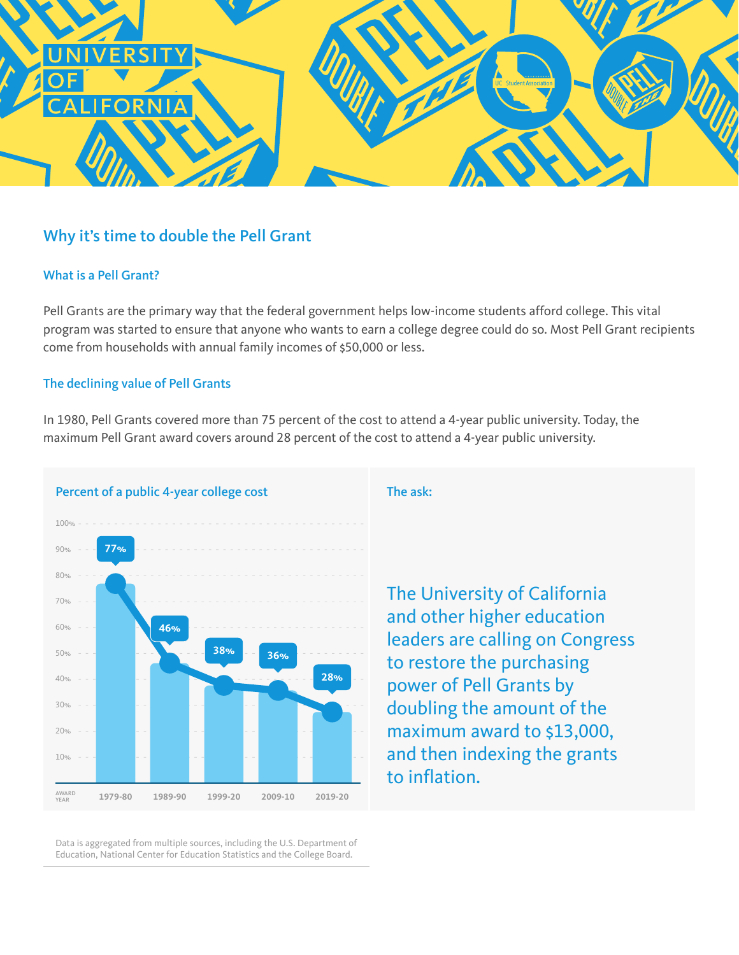

# Why it's time to double the Pell Grant

### What is a Pell Grant?

Pell Grants are the primary way that the federal government helps low-income students afford college. This vital program was started to ensure that anyone who wants to earn a college degree could do so. Most Pell Grant recipients come from households with annual family incomes of \$50,000 or less.

#### The declining value of Pell Grants

In 1980, Pell Grants covered more than 75 percent of the cost to attend a 4-year public university. Today, the maximum Pell Grant award covers around 28 percent of the cost to attend a 4-year public university.



Data is aggregated from multiple sources, including the U.S. Department of Education, National Center for Education Statistics and the College Board.

The University of California and other higher education leaders are calling on Congress to restore the purchasing power of Pell Grants by doubling the amount of the maximum award to \$13,000, and then indexing the grants to inflation.